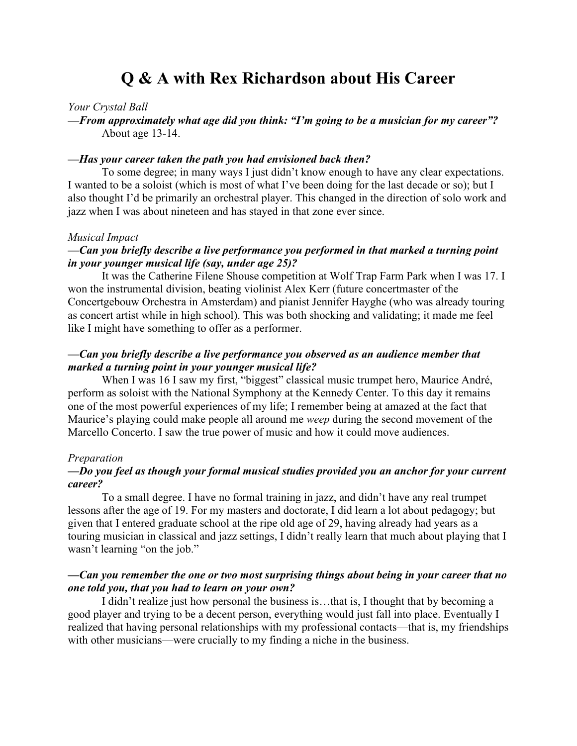# **Q & A with Rex Richardson about His Career**

#### *Your Crystal Ball*

*—From approximately what age did you think: "I'm going to be a musician for my career"?* About age 13-14.

#### *—Has your career taken the path you had envisioned back then?*

To some degree; in many ways I just didn't know enough to have any clear expectations. I wanted to be a soloist (which is most of what I've been doing for the last decade or so); but I also thought I'd be primarily an orchestral player. This changed in the direction of solo work and jazz when I was about nineteen and has stayed in that zone ever since.

#### *Musical Impact*

## *—Can you briefly describe a live performance you performed in that marked a turning point in your younger musical life (say, under age 25)?*

It was the Catherine Filene Shouse competition at Wolf Trap Farm Park when I was 17. I won the instrumental division, beating violinist Alex Kerr (future concertmaster of the Concertgebouw Orchestra in Amsterdam) and pianist Jennifer Hayghe (who was already touring as concert artist while in high school). This was both shocking and validating; it made me feel like I might have something to offer as a performer.

## *—Can you briefly describe a live performance you observed as an audience member that marked a turning point in your younger musical life?*

When I was 16 I saw my first, "biggest" classical music trumpet hero, Maurice André, perform as soloist with the National Symphony at the Kennedy Center. To this day it remains one of the most powerful experiences of my life; I remember being at amazed at the fact that Maurice's playing could make people all around me *weep* during the second movement of the Marcello Concerto. I saw the true power of music and how it could move audiences.

#### *Preparation*

## *—Do you feel as though your formal musical studies provided you an anchor for your current career?*

To a small degree. I have no formal training in jazz, and didn't have any real trumpet lessons after the age of 19. For my masters and doctorate, I did learn a lot about pedagogy; but given that I entered graduate school at the ripe old age of 29, having already had years as a touring musician in classical and jazz settings, I didn't really learn that much about playing that I wasn't learning "on the job."

## *—Can you remember the one or two most surprising things about being in your career that no one told you, that you had to learn on your own?*

I didn't realize just how personal the business is…that is, I thought that by becoming a good player and trying to be a decent person, everything would just fall into place. Eventually I realized that having personal relationships with my professional contacts—that is, my friendships with other musicians—were crucially to my finding a niche in the business.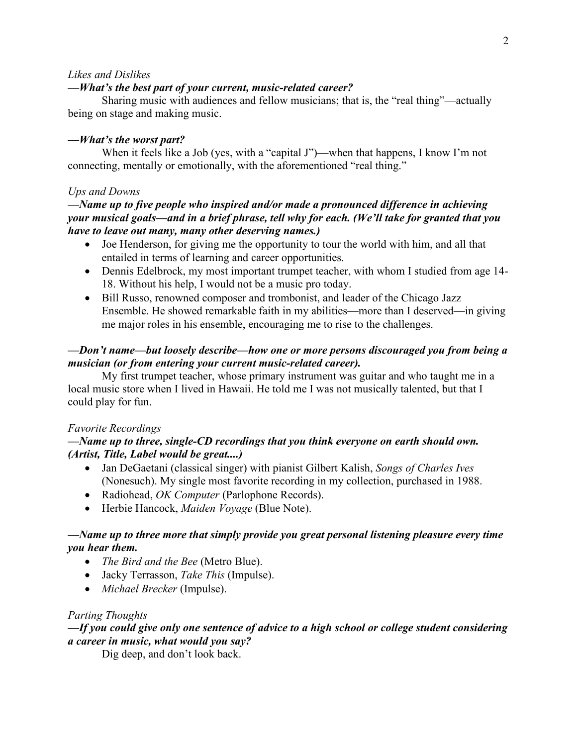#### *Likes and Dislikes*

#### *—What's the best part of your current, music-related career?*

Sharing music with audiences and fellow musicians; that is, the "real thing"—actually being on stage and making music.

#### *—What's the worst part?*

When it feels like a Job (yes, with a "capital J")—when that happens, I know I'm not connecting, mentally or emotionally, with the aforementioned "real thing."

#### *Ups and Downs*

## *—Name up to five people who inspired and/or made a pronounced difference in achieving your musical goals—and in a brief phrase, tell why for each. (We'll take for granted that you have to leave out many, many other deserving names.)*

- Joe Henderson, for giving me the opportunity to tour the world with him, and all that entailed in terms of learning and career opportunities.
- Dennis Edelbrock, my most important trumpet teacher, with whom I studied from age 14-18. Without his help, I would not be a music pro today.
- Bill Russo, renowned composer and trombonist, and leader of the Chicago Jazz Ensemble. He showed remarkable faith in my abilities—more than I deserved—in giving me major roles in his ensemble, encouraging me to rise to the challenges.

## *—Don't name—but loosely describe—how one or more persons discouraged you from being a musician (or from entering your current music-related career).*

My first trumpet teacher, whose primary instrument was guitar and who taught me in a local music store when I lived in Hawaii. He told me I was not musically talented, but that I could play for fun.

#### *Favorite Recordings*

## *—Name up to three, single-CD recordings that you think everyone on earth should own. (Artist, Title, Label would be great....)*

- Jan DeGaetani (classical singer) with pianist Gilbert Kalish, *Songs of Charles Ives* (Nonesuch). My single most favorite recording in my collection, purchased in 1988.
- Radiohead, *OK Computer* (Parlophone Records).
- Herbie Hancock, *Maiden Voyage* (Blue Note).

## *—Name up to three more that simply provide you great personal listening pleasure every time you hear them.*

- *The Bird and the Bee* (Metro Blue).
- Jacky Terrasson, *Take This* (Impulse).
- *Michael Brecker* (Impulse).

#### *Parting Thoughts*

## *—If you could give only one sentence of advice to a high school or college student considering a career in music, what would you say?*

Dig deep, and don't look back.